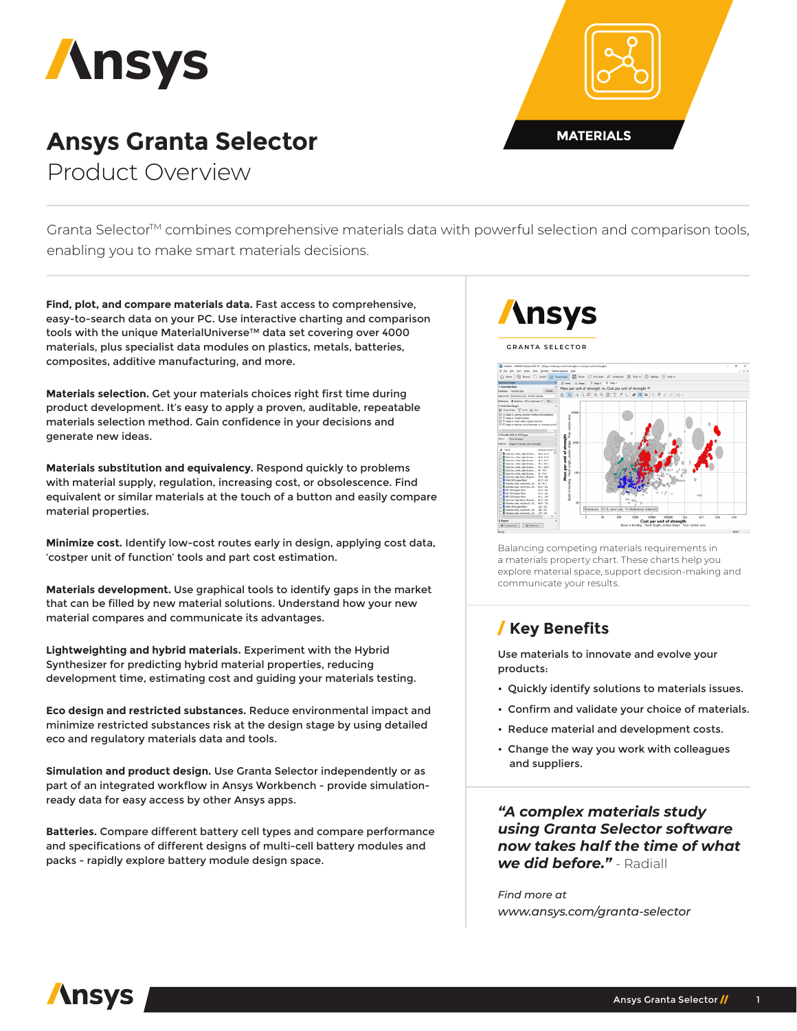

## **Ansys Granta Selector MATERIALS** Product Overview



Granta Selector<sup>™</sup> combines comprehensive materials data with powerful selection and comparison tools, enabling you to make smart materials decisions.

**Find, plot, and compare materials data.** Fast access to comprehensive, easy-to-search data on your PC. Use interactive charting and comparison tools with the unique MaterialUniverse™ data set covering over 4000 materials, plus specialist data modules on plastics, metals, batteries, composites, additive manufacturing, and more.

**Materials selection.** Get your materials choices right first time during product development. It's easy to apply a proven, auditable, repeatable materials selection method. Gain confidence in your decisions and generate new ideas.

**Materials substitution and equivalency.** Respond quickly to problems with material supply, regulation, increasing cost, or obsolescence. Find equivalent or similar materials at the touch of a button and easily compare material properties.

**Minimize cost.** Identify low-cost routes early in design, applying cost data, 'costper unit of function' tools and part cost estimation.

**Materials development.** Use graphical tools to identify gaps in the market that can be filled by new material solutions. Understand how your new material compares and communicate its advantages.

**Lightweighting and hybrid materials.** Experiment with the Hybrid Synthesizer for predicting hybrid material properties, reducing development time, estimating cost and guiding your materials testing.

**Eco design and restricted substances.** Reduce environmental impact and minimize restricted substances risk at the design stage by using detailed eco and regulatory materials data and tools.

**Simulation and product design.** Use Granta Selector independently or as part of an integrated workflow in Ansys Workbench - provide simulationready data for easy access by other Ansys apps.

**Batteries.** Compare different battery cell types and compare performance and specifications of different designs of multi-cell battery modules and packs - rapidly explore battery module design space.

# **\nsys**

**GRANT A SELECTOR**



Balancing competing materials requirements in a materials property chart. These charts help you explore material space, support decision-making and communicate your results.

#### / **Key Benefits**

Use materials to innovate and evolve your products:

- Quickly identify solutions to materials issues.
- Confirm and validate your choice of materials.
- Reduce material and development costs.
- Change the way you work with colleagues and suppliers.

*"A complex materials study using Granta Selector software now takes half the time of what we did before."* - Radiall

*Find more at www.ansys.com/granta-selector*

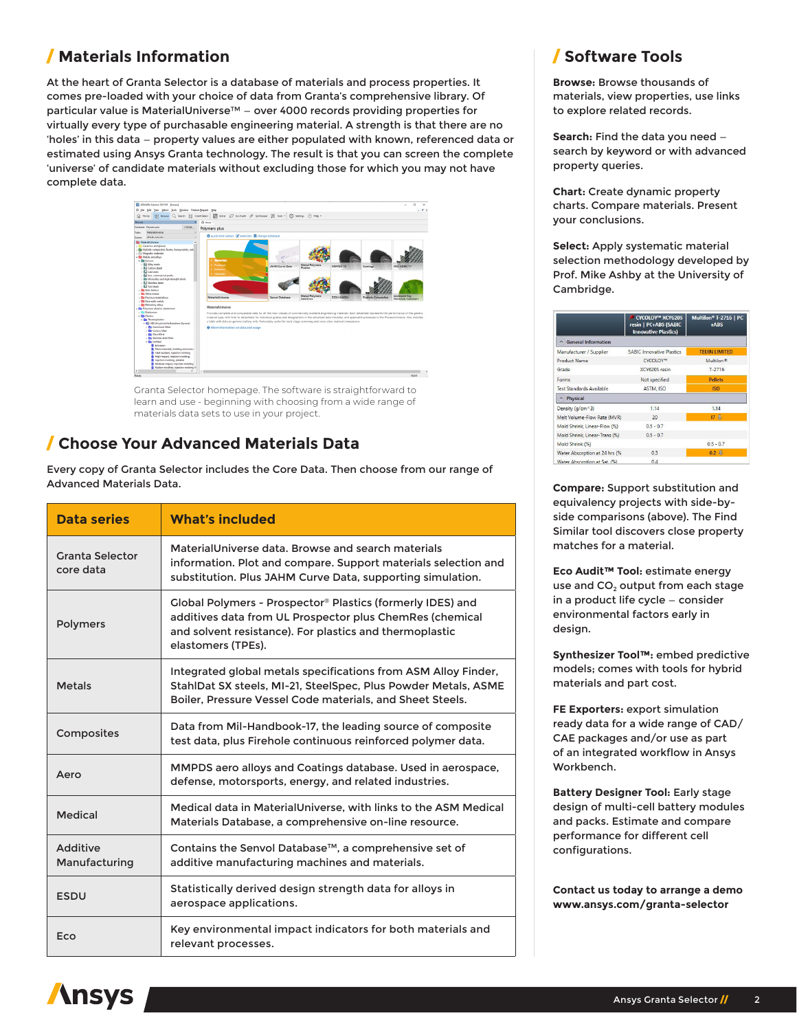### / **Materials Information**

At the heart of Granta Selector is a database of materials and process properties. It comes pre-loaded with your choice of data from Granta's comprehensive library. Of particular value is MaterialUniverse™ - over 4000 records providing properties for virtually every type of purchasable engineering material. A strength is that there are no 'holes' in this data — property values are either populated with known, referenced data or estimated using Ansys Granta technology. The result is that you can screen the complete 'universe' of candidate materials without excluding those for which you may not have complete data.



Granta Selector homepage. The software is straightforward to learn and use - beginning with choosing from a wide range of materials data sets to use in your project.

#### / **Choose Your Advanced Materials Data**

Every copy of Granta Selector includes the Core Data. Then choose from our range of Advanced Materials Data.

| <b>Data series</b>           | <b>What's included</b>                                                                                                                                                                                  |  |
|------------------------------|---------------------------------------------------------------------------------------------------------------------------------------------------------------------------------------------------------|--|
| Granta Selector<br>core data | MaterialUniverse data. Browse and search materials<br>information. Plot and compare. Support materials selection and<br>substitution. Plus JAHM Curve Data, supporting simulation.                      |  |
| <b>Polymers</b>              | Global Polymers - Prospector® Plastics (formerly IDES) and<br>additives data from UL Prospector plus ChemRes (chemical<br>and solvent resistance). For plastics and thermoplastic<br>elastomers (TPEs). |  |
| <b>Metals</b>                | Integrated global metals specifications from ASM Alloy Finder,<br>StahlDat SX steels, MI-21, SteelSpec, Plus Powder Metals, ASME<br>Boiler, Pressure Vessel Code materials, and Sheet Steels.           |  |
| Composites                   | Data from Mil-Handbook-17, the leading source of composite<br>test data, plus Firehole continuous reinforced polymer data.                                                                              |  |
| Aero                         | MMPDS aero alloys and Coatings database. Used in aerospace,<br>defense, motorsports, energy, and related industries.                                                                                    |  |
| <b>Medical</b>               | Medical data in MaterialUniverse, with links to the ASM Medical<br>Materials Database, a comprehensive on-line resource.                                                                                |  |
| Additive<br>Manufacturing    | Contains the Senvol Database™, a comprehensive set of<br>additive manufacturing machines and materials.                                                                                                 |  |
| <b>ESDU</b>                  | Statistically derived design strength data for alloys in<br>aerospace applications.                                                                                                                     |  |
| Eco                          | Key environmental impact indicators for both materials and<br>relevant processes.                                                                                                                       |  |

### / **Software Tools**

**Browse:** Browse thousands of materials, view properties, use links to explore related records.

**Search:** Find the data you need search by keyword or with advanced property queries.

**Chart:** Create dynamic property charts. Compare materials. Present your conclusions.

**Select:** Apply systematic material selection methodology developed by Prof. Mike Ashby at the University of Cambridge.

|                                 | CYCOLOY™ XCY620S<br>resin   PC+ABS (SABIC<br><b>Innovative Plastics)</b> | Multilon <sup>®</sup> T-2716   PC<br>+ARS |
|---------------------------------|--------------------------------------------------------------------------|-------------------------------------------|
| △ General Information           |                                                                          |                                           |
| Manufacturer / Supplier         | <b>SABIC Innovative Plastics</b>                                         | <b>TEIJIN LIMITED</b>                     |
| <b>Product Name</b>             | CYCOLOY™                                                                 | Multilon <sup>®</sup>                     |
| Grade                           | XCY620S resin                                                            | $T - 2716$                                |
| Forms                           | Not specified                                                            | <b>Pellets</b>                            |
| <b>Test Standards Available</b> | ASTM, ISO                                                                | <b>ISO</b>                                |
| Physical                        |                                                                          |                                           |
| Density (g/cm^3)                | 1.14                                                                     | 1.14                                      |
| Melt Volume-Flow Rate (MVR)     | 20 <sub>2</sub>                                                          | 17 <sub>3</sub>                           |
| Mold Shrink, Linear-Flow (%)    | $0.5 - 0.7$                                                              |                                           |
| Mold Shrink, Linear-Trans (%)   | $0.5 - 0.7$                                                              |                                           |
| Mold Shrink (%)                 |                                                                          | $0.5 - 0.7$                               |
| Water Absorption at 24 hrs (%   | 0.3                                                                      | $0.2 \perp$                               |
| Water Absorption at Sat. (%)    | 04                                                                       |                                           |

**Compare:** Support substitution and equivalency projects with side-byside comparisons (above). The Find Similar tool discovers close property matches for a material.

**Eco Audit™ Tool:** estimate energy use and  $CO<sub>2</sub>$  output from each stage in a product life cycle — consider environmental factors early in design.

**Synthesizer Tool™:** embed predictive models; comes with tools for hybrid materials and part cost.

**FE Exporters:** export simulation ready data for a wide range of CAD/ CAE packages and/or use as part of an integrated workflow in Ansys Workbench.

**Battery Designer Tool:** Early stage design of multi-cell battery modules and packs. Estimate and compare performance for different cell configurations.

**Contact us today to arrange a demo www.ansys.com/granta-selector**